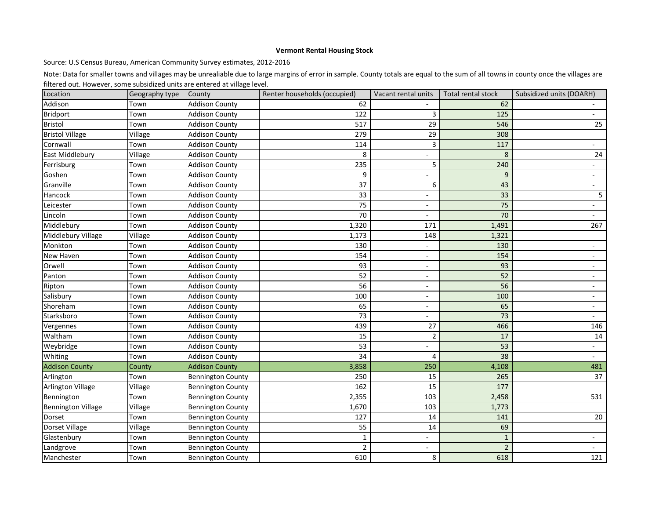## **Vermont Rental Housing Stock**

Source: U.S Census Bureau, American Community Survey estimates, 2012-2016

Note: Data for smaller towns and villages may be unrealiable due to large margins of error in sample. County totals are equal to the sum of all towns in county once the villages are filtered out. However, some subsidized units are entered at village level.

| Location                  | Geography type | County                   | Renter households (occupied) | Vacant rental units      | Total rental stock | Subsidized units (DOARH) |
|---------------------------|----------------|--------------------------|------------------------------|--------------------------|--------------------|--------------------------|
| Addison                   | Town           | <b>Addison County</b>    | 62                           |                          | 62                 |                          |
| <b>Bridport</b>           | Town           | <b>Addison County</b>    | 122                          | 3                        | 125                |                          |
| <b>Bristol</b>            | Town           | <b>Addison County</b>    | 517                          | 29                       | 546                | 25                       |
| <b>Bristol Village</b>    | Village        | <b>Addison County</b>    | 279                          | 29                       | 308                |                          |
| Cornwall                  | Town           | <b>Addison County</b>    | 114                          | 3                        | 117                |                          |
| East Middlebury           | Village        | <b>Addison County</b>    | 8                            |                          | 8                  | 24                       |
| Ferrisburg                | Town           | <b>Addison County</b>    | 235                          | 5                        | 240                |                          |
| Goshen                    | Town           | <b>Addison County</b>    | 9                            | $\overline{\phantom{a}}$ | 9                  | $\overline{\phantom{a}}$ |
| Granville                 | Town           | <b>Addison County</b>    | 37                           | 6                        | 43                 |                          |
| Hancock                   | Town           | <b>Addison County</b>    | 33                           |                          | 33                 | 5                        |
| Leicester                 | Town           | <b>Addison County</b>    | 75                           | $\overline{\phantom{a}}$ | 75                 |                          |
| Lincoln                   | Town           | <b>Addison County</b>    | 70                           |                          | 70                 |                          |
| Middlebury                | Town           | <b>Addison County</b>    | 1,320                        | 171                      | 1,491              | 267                      |
| Middlebury Village        | Village        | <b>Addison County</b>    | 1,173                        | 148                      | 1,321              |                          |
| Monkton                   | Town           | <b>Addison County</b>    | 130                          | $\overline{\phantom{0}}$ | 130                |                          |
| New Haven                 | Town           | <b>Addison County</b>    | 154                          |                          | 154                |                          |
| Orwell                    | Town           | <b>Addison County</b>    | 93                           |                          | 93                 |                          |
| Panton                    | Town           | <b>Addison County</b>    | 52                           | $\overline{\phantom{a}}$ | 52                 |                          |
| Ripton                    | Town           | <b>Addison County</b>    | 56                           | $\overline{\phantom{a}}$ | 56                 |                          |
| Salisbury                 | Town           | <b>Addison County</b>    | 100                          | $\overline{\phantom{a}}$ | 100                |                          |
| Shoreham                  | Town           | <b>Addison County</b>    | 65                           | $\overline{\phantom{a}}$ | 65                 | $\overline{\phantom{0}}$ |
| Starksboro                | Town           | <b>Addison County</b>    | 73                           |                          | 73                 |                          |
| Vergennes                 | Town           | <b>Addison County</b>    | 439                          | 27                       | 466                | 146                      |
| Waltham                   | Town           | <b>Addison County</b>    | 15                           | 2                        | 17                 | 14                       |
| Weybridge                 | Town           | <b>Addison County</b>    | 53                           | $\overline{\phantom{a}}$ | 53                 | $\overline{\phantom{0}}$ |
| Whiting                   | Town           | <b>Addison County</b>    | 34                           | 4                        | 38                 |                          |
| <b>Addison County</b>     | County         | <b>Addison County</b>    | 3,858                        | 250                      | 4,108              | 481                      |
| Arlington                 | Town           | <b>Bennington County</b> | 250                          | 15                       | 265                | 37                       |
| <b>Arlington Village</b>  | Village        | <b>Bennington County</b> | 162                          | 15                       | 177                |                          |
| Bennington                | Town           | <b>Bennington County</b> | 2,355                        | 103                      | 2,458              | 531                      |
| <b>Bennington Village</b> | Village        | <b>Bennington County</b> | 1,670                        | 103                      | 1,773              |                          |
| Dorset                    | Town           | <b>Bennington County</b> | 127                          | 14                       | 141                | 20                       |
| Dorset Village            | Village        | <b>Bennington County</b> | 55                           | 14                       | 69                 |                          |
| Glastenbury               | Town           | <b>Bennington County</b> | $\mathbf{1}$                 |                          | $\mathbf{1}$       | $\overline{\phantom{0}}$ |
| Landgrove                 | Town           | <b>Bennington County</b> | $\overline{2}$               | $\overline{\phantom{a}}$ | $\overline{2}$     | $\overline{\phantom{0}}$ |
| Manchester                | Town           | <b>Bennington County</b> | 610                          | 8                        | 618                | 121                      |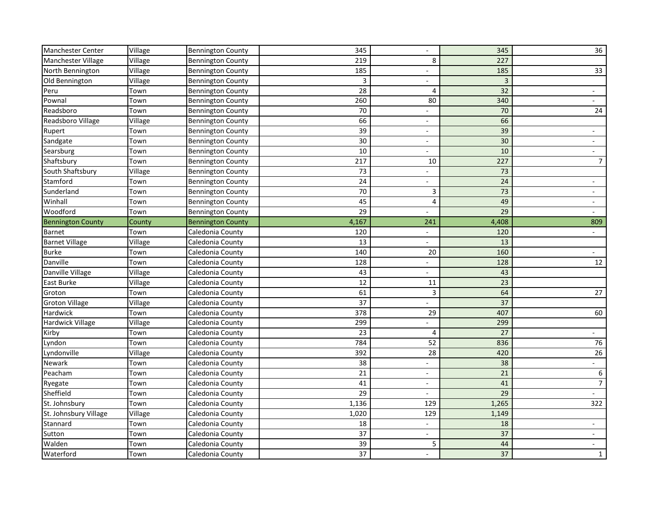| Manchester Center        | Village | <b>Bennington County</b> | 345   | $\overline{\phantom{a}}$ | 345   | 36                       |
|--------------------------|---------|--------------------------|-------|--------------------------|-------|--------------------------|
| Manchester Village       | Village | <b>Bennington County</b> | 219   | 8                        | 227   |                          |
| North Bennington         | Village | <b>Bennington County</b> | 185   |                          | 185   | 33                       |
| Old Bennington           | Village | <b>Bennington County</b> | 3     |                          | 3     |                          |
| Peru                     | Town    | <b>Bennington County</b> | 28    | 4                        | 32    |                          |
| Pownal                   | Town    | <b>Bennington County</b> | 260   | 80                       | 340   |                          |
| Readsboro                | Town    | <b>Bennington County</b> | 70    |                          | 70    | 24                       |
| Readsboro Village        | Village | <b>Bennington County</b> | 66    | $\overline{\phantom{0}}$ | 66    |                          |
| Rupert                   | Town    | <b>Bennington County</b> | 39    | $\overline{\phantom{0}}$ | 39    |                          |
| Sandgate                 | Town    | <b>Bennington County</b> | 30    |                          | 30    |                          |
| Searsburg                | Town    | <b>Bennington County</b> | 10    | $\overline{\phantom{0}}$ | 10    | $-$                      |
| Shaftsbury               | Town    | <b>Bennington County</b> | 217   | 10                       | 227   | $\overline{7}$           |
| South Shaftsbury         | Village | <b>Bennington County</b> | 73    |                          | 73    |                          |
| Stamford                 | Town    | <b>Bennington County</b> | 24    |                          | 24    |                          |
| Sunderland               | Town    | <b>Bennington County</b> | 70    | 3                        | 73    |                          |
| Winhall                  | Town    | <b>Bennington County</b> | 45    | 4                        | 49    |                          |
| Woodford                 | Town    | <b>Bennington County</b> | 29    |                          | 29    |                          |
| <b>Bennington County</b> | County  | <b>Bennington County</b> | 4,167 | 241                      | 4,408 | 809                      |
| <b>Barnet</b>            | Town    | Caledonia County         | 120   |                          | 120   |                          |
| <b>Barnet Village</b>    | Village | Caledonia County         | 13    |                          | 13    |                          |
| <b>Burke</b>             | Town    | Caledonia County         | 140   | 20                       | 160   |                          |
| Danville                 | Town    | Caledonia County         | 128   | -                        | 128   | 12                       |
| Danville Village         | Village | Caledonia County         | 43    | -                        | 43    |                          |
| <b>East Burke</b>        | Village | Caledonia County         | 12    | 11                       | 23    |                          |
| Groton                   | Town    | Caledonia County         | 61    | 3                        | 64    | 27                       |
| <b>Groton Village</b>    | Village | Caledonia County         | 37    |                          | 37    |                          |
| Hardwick                 | Town    | Caledonia County         | 378   | 29                       | 407   | 60                       |
| <b>Hardwick Village</b>  | Village | Caledonia County         | 299   | -                        | 299   |                          |
| Kirby                    | Town    | Caledonia County         | 23    | 4                        | 27    |                          |
| Lyndon                   | Town    | Caledonia County         | 784   | 52                       | 836   | 76                       |
| Lyndonville              | Village | Caledonia County         | 392   | 28                       | 420   | 26                       |
| Newark                   | Town    | Caledonia County         | 38    |                          | 38    |                          |
| Peacham                  | Town    | Caledonia County         | 21    | $\overline{\phantom{0}}$ | 21    | 6                        |
| Ryegate                  | Town    | Caledonia County         | 41    | $\overline{\phantom{0}}$ | 41    | $\overline{7}$           |
| Sheffield                | Town    | Caledonia County         | 29    | $\overline{\phantom{a}}$ | 29    |                          |
| St. Johnsbury            | Town    | Caledonia County         | 1,136 | 129                      | 1,265 | 322                      |
| St. Johnsbury Village    | Village | Caledonia County         | 1,020 | 129                      | 1,149 |                          |
| Stannard                 | Town    | Caledonia County         | 18    | Ξ.                       | 18    | $\overline{\phantom{a}}$ |
| Sutton                   | Town    | Caledonia County         | 37    | $\overline{\phantom{0}}$ | 37    | $\blacksquare$           |
| Walden                   | Town    | Caledonia County         | 39    | 5                        | 44    | $\sim$                   |
| Waterford                | Town    | Caledonia County         | 37    | $\overline{\phantom{0}}$ | 37    | $\mathbf{1}$             |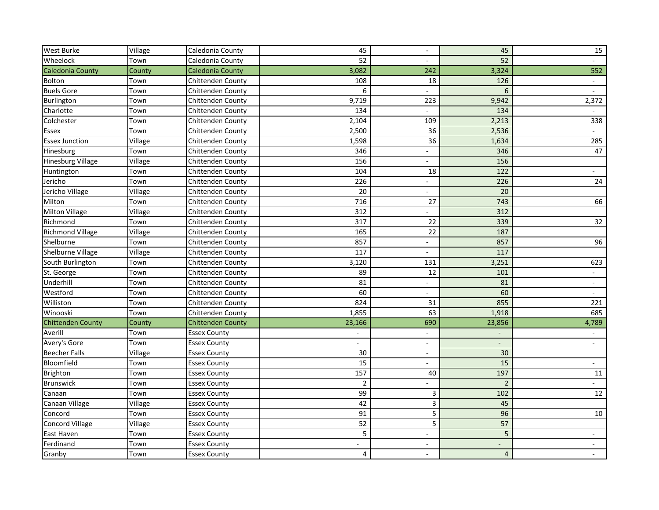| <b>West Burke</b>        | Village | Caledonia County         | 45                      | $\overline{\phantom{a}}$ | 45             | 15                       |
|--------------------------|---------|--------------------------|-------------------------|--------------------------|----------------|--------------------------|
| Wheelock                 | Town    | Caledonia County         | 52                      |                          | 52             |                          |
| Caledonia County         | County  | Caledonia County         | 3,082                   | 242                      | 3,324          | 552                      |
| Bolton                   | Town    | <b>Chittenden County</b> | 108                     | 18                       | 126            |                          |
| <b>Buels Gore</b>        | Town    | Chittenden County        | 6                       |                          | 6              |                          |
| Burlington               | Town    | Chittenden County        | 9,719                   | 223                      | 9,942          | 2,372                    |
| Charlotte                | Town    | Chittenden County        | 134                     |                          | 134            |                          |
| Colchester               | Town    | <b>Chittenden County</b> | 2,104                   | 109                      | 2,213          | 338                      |
| Essex                    | Town    | Chittenden County        | 2,500                   | 36                       | 2,536          |                          |
| <b>Essex Junction</b>    | Village | Chittenden County        | 1,598                   | 36                       | 1,634          | 285                      |
| Hinesburg                | Town    | Chittenden County        | 346                     |                          | 346            | 47                       |
| <b>Hinesburg Village</b> | Village | Chittenden County        | 156                     |                          | 156            |                          |
| Huntington               | Town    | Chittenden County        | 104                     | 18                       | 122            |                          |
| Jericho                  | Town    | Chittenden County        | 226                     |                          | 226            | 24                       |
| Jericho Village          | Village | Chittenden County        | 20                      |                          | 20             |                          |
| Milton                   | Town    | Chittenden County        | 716                     | 27                       | 743            | 66                       |
| <b>Milton Village</b>    | Village | Chittenden County        | 312                     |                          | 312            |                          |
| Richmond                 | Town    | Chittenden County        | 317                     | 22                       | 339            | 32                       |
| <b>Richmond Village</b>  | Village | Chittenden County        | 165                     | 22                       | 187            |                          |
| Shelburne                | Town    | Chittenden County        | 857                     |                          | 857            | 96                       |
| Shelburne Village        | Village | Chittenden County        | 117                     | $\overline{\phantom{0}}$ | 117            |                          |
| South Burlington         | Town    | Chittenden County        | 3,120                   | 131                      | 3,251          | 623                      |
| St. George               | Town    | Chittenden County        | 89                      | 12                       | 101            |                          |
| Underhill                | Town    | Chittenden County        | 81                      |                          | 81             |                          |
| Westford                 | Town    | Chittenden County        | 60                      |                          | 60             |                          |
| Williston                | Town    | Chittenden County        | 824                     | 31                       | 855            | 221                      |
| Winooski                 | Town    | Chittenden County        | 1,855                   | 63                       | 1,918          | 685                      |
| <b>Chittenden County</b> | County  | <b>Chittenden County</b> | 23,166                  | 690                      | 23,856         | 4,789                    |
| Averill                  | Town    | <b>Essex County</b>      |                         | $\overline{\phantom{0}}$ |                |                          |
| Avery's Gore             | Town    | <b>Essex County</b>      |                         |                          |                |                          |
| <b>Beecher Falls</b>     | Village | <b>Essex County</b>      | 30                      | $\overline{\phantom{a}}$ | 30             |                          |
| Bloomfield               | Town    | <b>Essex County</b>      | 15                      | $\blacksquare$           | 15             |                          |
| Brighton                 | Town    | <b>Essex County</b>      | 157                     | 40                       | 197            | 11                       |
| <b>Brunswick</b>         | Town    | <b>Essex County</b>      | $\overline{2}$          |                          | $\overline{2}$ |                          |
| Canaan                   | Town    | <b>Essex County</b>      | 99                      | 3                        | 102            | 12                       |
| Canaan Village           | Village | <b>Essex County</b>      | 42                      | 3                        | 45             |                          |
| Concord                  | Town    | <b>Essex County</b>      | 91                      | 5                        | 96             | 10                       |
| Concord Village          | Village | <b>Essex County</b>      | 52                      | 5                        | 57             |                          |
| East Haven               | Town    | <b>Essex County</b>      | 5                       |                          | 5              |                          |
| Ferdinand                | Town    | <b>Essex County</b>      |                         | $\overline{\phantom{0}}$ |                | $\overline{\phantom{a}}$ |
| Granby                   | Town    | <b>Essex County</b>      | $\overline{\mathbf{4}}$ | $\overline{\phantom{a}}$ | $\overline{4}$ | $\sim$                   |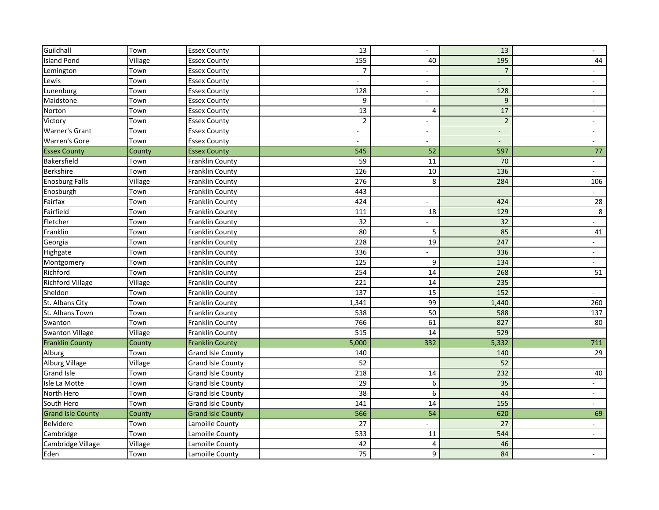| Guildhall                | Town    | <b>Essex County</b>      | 13                       | $\overline{\phantom{a}}$ | 13             | $\overline{\phantom{0}}$ |
|--------------------------|---------|--------------------------|--------------------------|--------------------------|----------------|--------------------------|
| <b>Island Pond</b>       | Village | <b>Essex County</b>      | 155                      | 40                       | 195            | 44                       |
| Lemington                | Town    | <b>Essex County</b>      | 7                        |                          | 7              |                          |
| Lewis                    | Town    | <b>Essex County</b>      |                          | $\overline{\phantom{0}}$ |                |                          |
| Lunenburg                | Town    | <b>Essex County</b>      | 128                      | $\overline{\phantom{a}}$ | 128            |                          |
| Maidstone                | Town    | <b>Essex County</b>      | 9                        | $\overline{\phantom{a}}$ | $\overline{9}$ | $\overline{\phantom{a}}$ |
| Norton                   | Town    | <b>Essex County</b>      | 13                       | 4                        | 17             |                          |
| Victory                  | Town    | <b>Essex County</b>      | $\overline{2}$           | $\overline{\phantom{a}}$ | $\overline{2}$ |                          |
| <b>Warner's Grant</b>    | Town    | <b>Essex County</b>      | $\overline{\phantom{a}}$ | $\overline{\phantom{a}}$ |                |                          |
| <b>Warren's Gore</b>     | Town    | <b>Essex County</b>      |                          |                          |                |                          |
| <b>Essex County</b>      | County  | <b>Essex County</b>      | 545                      | 52                       | 597            | 77                       |
| Bakersfield              | Town    | Franklin County          | 59                       | 11                       | 70             |                          |
| Berkshire                | Town    | Franklin County          | 126                      | 10                       | 136            |                          |
| <b>Enosburg Falls</b>    | Village | Franklin County          | 276                      | 8                        | 284            | 106                      |
| Enosburgh                | Town    | Franklin County          | 443                      |                          |                |                          |
| Fairfax                  | Town    | Franklin County          | 424                      | $\overline{\phantom{0}}$ | 424            | 28                       |
| Fairfield                | Town    | Franklin County          | 111                      | 18                       | 129            | 8                        |
| Fletcher                 | Town    | Franklin County          | 32                       | $\overline{\phantom{a}}$ | 32             |                          |
| Franklin                 | Town    | <b>Franklin County</b>   | 80                       | 5                        | 85             | 41                       |
| Georgia                  | Town    | Franklin County          | 228                      | 19                       | 247            |                          |
| Highgate                 | Town    | Franklin County          | 336                      |                          | 336            | $\overline{\phantom{0}}$ |
| Montgomery               | Town    | Franklin County          | 125                      | 9                        | 134            |                          |
| Richford                 | Town    | Franklin County          | 254                      | 14                       | 268            | 51                       |
| <b>Richford Village</b>  | Village | Franklin County          | 221                      | 14                       | 235            |                          |
| Sheldon                  | Town    | Franklin County          | 137                      | 15                       | 152            |                          |
| St. Albans City          | Town    | Franklin County          | 1,341                    | 99                       | 1,440          | 260                      |
| St. Albans Town          | Town    | Franklin County          | 538                      | 50                       | 588            | 137                      |
| Swanton                  | Town    | Franklin County          | 766                      | 61                       | 827            | 80                       |
| <b>Swanton Village</b>   | Village | Franklin County          | 515                      | 14                       | 529            |                          |
| <b>Franklin County</b>   | County  | <b>Franklin County</b>   | 5,000                    | 332                      | 5,332          | 711                      |
| Alburg                   | Town    | <b>Grand Isle County</b> | 140                      |                          | 140            | 29                       |
| Alburg Village           | Village | <b>Grand Isle County</b> | 52                       |                          | 52             |                          |
| <b>Grand Isle</b>        | Town    | <b>Grand Isle County</b> | 218                      | 14                       | 232            | 40                       |
| Isle La Motte            | Town    | <b>Grand Isle County</b> | 29                       | 6                        | 35             |                          |
| North Hero               | Town    | <b>Grand Isle County</b> | 38                       | 6                        | 44             | $\overline{\phantom{0}}$ |
| South Hero               | Town    | <b>Grand Isle County</b> | 141                      | $14\,$                   | 155            |                          |
| <b>Grand Isle County</b> | County  | <b>Grand Isle County</b> | 566                      | 54                       | 620            | 69                       |
| Belvidere                | Town    | Lamoille County          | 27                       |                          | 27             |                          |
| Cambridge                | Town    | Lamoille County          | 533                      | 11                       | 544            | $ \,$                    |
| Cambridge Village        | Village | Lamoille County          | 42                       | 4                        | 46             |                          |
| Eden                     | Town    | Lamoille County          | 75                       | 9                        | 84             | $\sim$                   |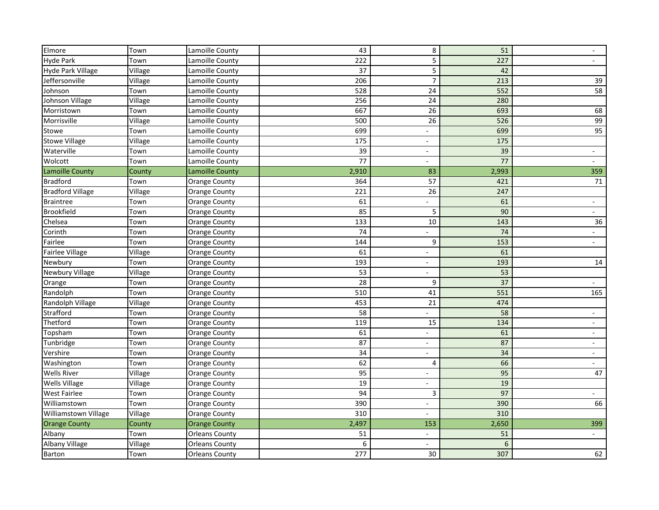| Elmore                      | Town    | Lamoille County       | 43    | 8                        | 51    |                          |
|-----------------------------|---------|-----------------------|-------|--------------------------|-------|--------------------------|
| <b>Hyde Park</b>            | Town    | Lamoille County       | 222   | 5                        | 227   |                          |
| <b>Hyde Park Village</b>    | Village | Lamoille County       | 37    | 5                        | 42    |                          |
| Jeffersonville              | Village | Lamoille County       | 206   | $\overline{7}$           | 213   | 39                       |
| Johnson                     | Town    | Lamoille County       | 528   | 24                       | 552   | 58                       |
| Johnson Village             | Village | Lamoille County       | 256   | 24                       | 280   |                          |
| Morristown                  | Town    | Lamoille County       | 667   | 26                       | 693   | 68                       |
| Morrisville                 | Village | Lamoille County       | 500   | 26                       | 526   | 99                       |
| Stowe                       | Town    | Lamoille County       | 699   |                          | 699   | 95                       |
| <b>Stowe Village</b>        | Village | Lamoille County       | 175   |                          | 175   |                          |
| Waterville                  | Town    | Lamoille County       | 39    | $\overline{\phantom{0}}$ | 39    | $\overline{\phantom{0}}$ |
| Wolcott                     | Town    | Lamoille County       | 77    | -                        | 77    |                          |
| Lamoille County             | County  | Lamoille County       | 2,910 | 83                       | 2,993 | 359                      |
| Bradford                    | Town    | <b>Orange County</b>  | 364   | 57                       | 421   | 71                       |
| <b>Bradford Village</b>     | Village | <b>Orange County</b>  | 221   | 26                       | 247   |                          |
| <b>Braintree</b>            | Town    | <b>Orange County</b>  | 61    |                          | 61    |                          |
| Brookfield                  | Town    | <b>Orange County</b>  | 85    | 5                        | 90    |                          |
| Chelsea                     | Town    | <b>Orange County</b>  | 133   | 10                       | 143   | 36                       |
| Corinth                     | Town    | <b>Orange County</b>  | 74    |                          | 74    |                          |
| Fairlee                     | Town    | <b>Orange County</b>  | 144   | 9                        | 153   |                          |
| <b>Fairlee Village</b>      | Village | <b>Orange County</b>  | 61    |                          | 61    |                          |
| Newbury                     | Town    | <b>Orange County</b>  | 193   | $\overline{a}$           | 193   | 14                       |
| <b>Newbury Village</b>      | Village | <b>Orange County</b>  | 53    | $\overline{\phantom{0}}$ | 53    |                          |
| Orange                      | Town    | <b>Orange County</b>  | 28    | 9                        | 37    |                          |
| Randolph                    | Town    | <b>Orange County</b>  | 510   | 41                       | 551   | 165                      |
| Randolph Village            | Village | <b>Orange County</b>  | 453   | 21                       | 474   |                          |
| Strafford                   | Town    | <b>Orange County</b>  | 58    | $\overline{a}$           | 58    |                          |
| Thetford                    | Town    | <b>Orange County</b>  | 119   | 15                       | 134   | $\overline{\phantom{0}}$ |
| Topsham                     | Town    | <b>Orange County</b>  | 61    |                          | 61    |                          |
| Tunbridge                   | Town    | <b>Orange County</b>  | 87    | -                        | 87    |                          |
| Vershire                    | Town    | <b>Orange County</b>  | 34    |                          | 34    |                          |
| Washington                  | Town    | Orange County         | 62    | 4                        | 66    |                          |
| <b>Wells River</b>          | Village | <b>Orange County</b>  | 95    | $\overline{\phantom{0}}$ | 95    | 47                       |
| <b>Wells Village</b>        | Village | <b>Orange County</b>  | 19    |                          | 19    |                          |
| <b>West Fairlee</b>         | Town    | <b>Orange County</b>  | 94    | 3                        | 97    |                          |
| Williamstown                | Town    | <b>Orange County</b>  | 390   |                          | 390   | 66                       |
| <b>Williamstown Village</b> | Village | <b>Orange County</b>  | 310   |                          | 310   |                          |
| <b>Orange County</b>        | County  | <b>Orange County</b>  | 2,497 | 153                      | 2,650 | 399                      |
| Albany                      | Town    | <b>Orleans County</b> | 51    |                          | 51    |                          |
| Albany Village              | Village | <b>Orleans County</b> | 6     | Ξ.                       | 6     |                          |
| Barton                      | Town    | <b>Orleans County</b> | 277   | 30                       | 307   | 62                       |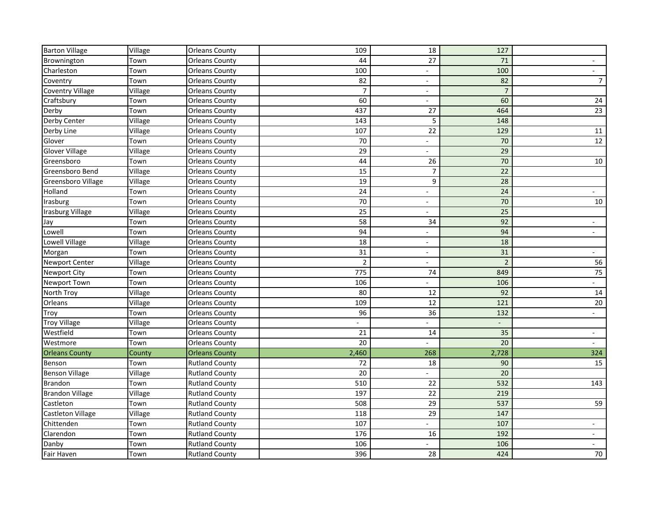| <b>Barton Village</b>    | Village | <b>Orleans County</b> | 109            | 18                       | 127            |                          |
|--------------------------|---------|-----------------------|----------------|--------------------------|----------------|--------------------------|
| Brownington              | Town    | <b>Orleans County</b> | 44             | 27                       | 71             |                          |
| Charleston               | Town    | <b>Orleans County</b> | 100            |                          | 100            |                          |
| Coventry                 | Town    | <b>Orleans County</b> | 82             |                          | 82             | $\overline{7}$           |
| <b>Coventry Village</b>  | Village | <b>Orleans County</b> | $\overline{7}$ | $\qquad \qquad -$        | $\overline{7}$ |                          |
| Craftsbury               | Town    | <b>Orleans County</b> | 60             | $\overline{\phantom{0}}$ | 60             | 24                       |
| Derby                    | Town    | <b>Orleans County</b> | 437            | 27                       | 464            | 23                       |
| Derby Center             | Village | <b>Orleans County</b> | 143            | 5                        | 148            |                          |
| Derby Line               | Village | <b>Orleans County</b> | 107            | 22                       | 129            | 11                       |
| Glover                   | Town    | <b>Orleans County</b> | 70             |                          | 70             | 12                       |
| <b>Glover Village</b>    | Village | <b>Orleans County</b> | 29             | $\overline{\phantom{a}}$ | 29             |                          |
| Greensboro               | Town    | <b>Orleans County</b> | 44             | 26                       | 70             | 10                       |
| Greensboro Bend          | Village | <b>Orleans County</b> | 15             | 7                        | 22             |                          |
| Greensboro Village       | Village | <b>Orleans County</b> | 19             | 9                        | 28             |                          |
| Holland                  | Town    | <b>Orleans County</b> | 24             |                          | 24             |                          |
| Irasburg                 | Town    | <b>Orleans County</b> | 70             | $\overline{\phantom{0}}$ | 70             | 10                       |
| Irasburg Village         | Village | <b>Orleans County</b> | 25             |                          | 25             |                          |
| Jay                      | Town    | <b>Orleans County</b> | 58             | 34                       | 92             | $\overline{\phantom{0}}$ |
| Lowell                   | Town    | <b>Orleans County</b> | 94             | $\overline{\phantom{0}}$ | 94             |                          |
| Lowell Village           | Village | <b>Orleans County</b> | 18             |                          | 18             |                          |
| Morgan                   | Town    | <b>Orleans County</b> | 31             | $\overline{\phantom{0}}$ | 31             |                          |
| <b>Newport Center</b>    | Village | <b>Orleans County</b> | $\overline{2}$ |                          | $\overline{2}$ | 56                       |
| <b>Newport City</b>      | Town    | <b>Orleans County</b> | 775            | 74                       | 849            | 75                       |
| Newport Town             | Town    | <b>Orleans County</b> | 106            |                          | 106            |                          |
| North Troy               | Village | <b>Orleans County</b> | 80             | 12                       | 92             | 14                       |
| Orleans                  | Village | <b>Orleans County</b> | 109            | 12                       | 121            | $20\,$                   |
| Troy                     | Town    | <b>Orleans County</b> | 96             | 36                       | 132            | $\overline{\phantom{0}}$ |
| <b>Troy Village</b>      | Village | <b>Orleans County</b> |                | -                        |                |                          |
| Westfield                | Town    | <b>Orleans County</b> | 21             | 14                       | 35             |                          |
| Westmore                 | Town    | <b>Orleans County</b> | 20             |                          | 20             |                          |
| <b>Orleans County</b>    | County  | <b>Orleans County</b> | 2,460          | 268                      | 2,728          | 324                      |
| Benson                   | Town    | <b>Rutland County</b> | 72             | 18                       | 90             | 15                       |
| <b>Benson Village</b>    | Village | <b>Rutland County</b> | 20             |                          | 20             |                          |
| Brandon                  | Town    | <b>Rutland County</b> | 510            | 22                       | 532            | 143                      |
| <b>Brandon Village</b>   | Village | <b>Rutland County</b> | 197            | 22                       | 219            |                          |
| Castleton                | Town    | <b>Rutland County</b> | 508            | 29                       | 537            | 59                       |
| <b>Castleton Village</b> | Village | <b>Rutland County</b> | 118            | 29                       | 147            |                          |
| Chittenden               | Town    | <b>Rutland County</b> | 107            |                          | 107            | $\overline{\phantom{a}}$ |
| Clarendon                | Town    | <b>Rutland County</b> | 176            | 16                       | 192            | $ \,$                    |
| Danby                    | Town    | <b>Rutland County</b> | 106            | $\overline{\phantom{0}}$ | 106            | $\overline{\phantom{0}}$ |
| Fair Haven               | Town    | <b>Rutland County</b> | 396            | 28                       | 424            | 70                       |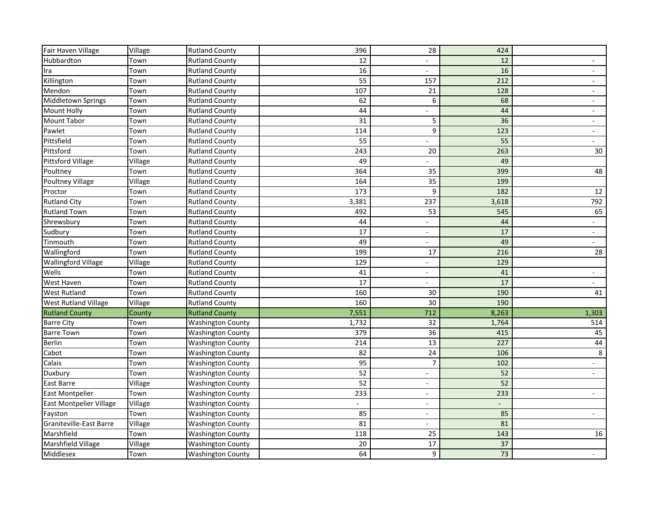| Fair Haven Village             | Village | <b>Rutland County</b>    | 396   | 28                       | 424   |                          |
|--------------------------------|---------|--------------------------|-------|--------------------------|-------|--------------------------|
| Hubbardton                     | Town    | <b>Rutland County</b>    | 12    |                          | 12    |                          |
| Ira                            | Town    | <b>Rutland County</b>    | 16    |                          | 16    |                          |
| Killington                     | Town    | <b>Rutland County</b>    | 55    | 157                      | 212   |                          |
| Mendon                         | Town    | <b>Rutland County</b>    | 107   | 21                       | 128   |                          |
| Middletown Springs             | Town    | <b>Rutland County</b>    | 62    | 6                        | 68    | $\qquad \qquad -$        |
| <b>Mount Holly</b>             | Town    | Rutland County           | 44    |                          | 44    | $\overline{\phantom{0}}$ |
| <b>Mount Tabor</b>             | Town    | <b>Rutland County</b>    | 31    | 5                        | 36    | $\overline{\phantom{0}}$ |
| Pawlet                         | Town    | <b>Rutland County</b>    | 114   | 9                        | 123   | $\overline{\phantom{0}}$ |
| Pittsfield                     | Town    | <b>Rutland County</b>    | 55    |                          | 55    |                          |
| Pittsford                      | Town    | <b>Rutland County</b>    | 243   | 20                       | 263   | 30                       |
| <b>Pittsford Village</b>       | Village | <b>Rutland County</b>    | 49    |                          | 49    |                          |
| Poultney                       | Town    | <b>Rutland County</b>    | 364   | 35                       | 399   | 48                       |
| Poultney Village               | Village | <b>Rutland County</b>    | 164   | 35                       | 199   |                          |
| Proctor                        | Town    | <b>Rutland County</b>    | 173   | 9                        | 182   | 12                       |
| <b>Rutland City</b>            | Town    | <b>Rutland County</b>    | 3,381 | 237                      | 3,618 | 792                      |
| <b>Rutland Town</b>            | Town    | <b>Rutland County</b>    | 492   | 53                       | 545   | 65                       |
| Shrewsbury                     | Town    | <b>Rutland County</b>    | 44    | $\overline{\phantom{a}}$ | 44    | $\blacksquare$           |
| Sudbury                        | Town    | <b>Rutland County</b>    | 17    | $\overline{\phantom{a}}$ | 17    | $\blacksquare$           |
| Tinmouth                       | Town    | <b>Rutland County</b>    | 49    |                          | 49    |                          |
| Wallingford                    | Town    | <b>Rutland County</b>    | 199   | 17                       | 216   | 28                       |
| <b>Wallingford Village</b>     | Village | <b>Rutland County</b>    | 129   | $\overline{\phantom{a}}$ | 129   |                          |
| Wells                          | Town    | <b>Rutland County</b>    | 41    | $\overline{\phantom{a}}$ | 41    | $\blacksquare$           |
| <b>West Haven</b>              | Town    | <b>Rutland County</b>    | 17    |                          | 17    |                          |
| <b>West Rutland</b>            | Town    | <b>Rutland County</b>    | 160   | 30                       | 190   | 41                       |
| <b>West Rutland Village</b>    | Village | <b>Rutland County</b>    | 160   | 30                       | 190   |                          |
| <b>Rutland County</b>          | County  | <b>Rutland County</b>    | 7,551 | 712                      | 8,263 | 1,303                    |
| <b>Barre City</b>              | Town    | <b>Washington County</b> | 1,732 | 32                       | 1,764 | 514                      |
| <b>Barre Town</b>              | Town    | <b>Washington County</b> | 379   | 36                       | 415   | 45                       |
| <b>Berlin</b>                  | Town    | <b>Washington County</b> | 214   | 13                       | 227   | $44\,$                   |
| Cabot                          | Town    | <b>Washington County</b> | 82    | 24                       | 106   | $\bf 8$                  |
| Calais                         | Town    | <b>Washington County</b> | 95    | $\overline{7}$           | 102   |                          |
| Duxbury                        | Town    | <b>Washington County</b> | 52    | $\overline{\phantom{a}}$ | 52    | $\overline{\phantom{0}}$ |
| East Barre                     | Village | <b>Washington County</b> | 52    |                          | 52    |                          |
| <b>East Montpelier</b>         | Town    | <b>Washington County</b> | 233   | $\overline{\phantom{a}}$ | 233   |                          |
| <b>East Montpelier Village</b> | Village | <b>Washington County</b> |       | $\overline{\phantom{a}}$ |       |                          |
| Fayston                        | Town    | <b>Washington County</b> | 85    | $\overline{\phantom{a}}$ | 85    |                          |
| Graniteville-East Barre        | Village | <b>Washington County</b> | 81    | $\overline{\phantom{a}}$ | 81    |                          |
| Marshfield                     | Town    | <b>Washington County</b> | 118   | 25                       | 143   | 16                       |
| Marshfield Village             | Village | <b>Washington County</b> | 20    | 17                       | 37    |                          |
| Middlesex                      | Town    | <b>Washington County</b> | 64    | 9                        | 73    | $\overline{\phantom{0}}$ |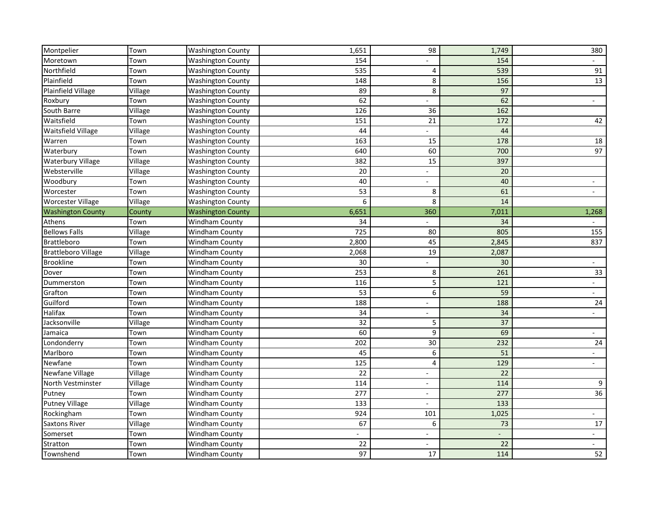| Montpelier                 | Town    | <b>Washington County</b> | 1,651 | 98                       | 1,749 | 380                      |
|----------------------------|---------|--------------------------|-------|--------------------------|-------|--------------------------|
| Moretown                   | Town    | <b>Washington County</b> | 154   |                          | 154   |                          |
| Northfield                 | Town    | <b>Washington County</b> | 535   | 4                        | 539   | 91                       |
| Plainfield                 | Town    | <b>Washington County</b> | 148   | 8                        | 156   | 13                       |
| Plainfield Village         | Village | <b>Washington County</b> | 89    | 8                        | 97    |                          |
| Roxbury                    | Town    | <b>Washington County</b> | 62    |                          | 62    | $\overline{\phantom{0}}$ |
| South Barre                | Village | <b>Washington County</b> | 126   | 36                       | 162   |                          |
| Waitsfield                 | Town    | <b>Washington County</b> | 151   | 21                       | 172   | 42                       |
| Waitsfield Village         | Village | <b>Washington County</b> | 44    |                          | 44    |                          |
| Warren                     | Town    | <b>Washington County</b> | 163   | 15                       | 178   | 18                       |
| Waterbury                  | Town    | <b>Washington County</b> | 640   | 60                       | 700   | 97                       |
| <b>Waterbury Village</b>   | Village | <b>Washington County</b> | 382   | 15                       | 397   |                          |
| Websterville               | Village | <b>Washington County</b> | 20    | -                        | 20    |                          |
| Woodbury                   | Town    | <b>Washington County</b> | 40    |                          | 40    |                          |
| Worcester                  | Town    | <b>Washington County</b> | 53    | 8                        | 61    |                          |
| <b>Worcester Village</b>   | Village | <b>Washington County</b> | 6     | 8                        | 14    |                          |
| <b>Washington County</b>   | County  | <b>Washington County</b> | 6,651 | 360                      | 7,011 | 1,268                    |
| Athens                     | Town    | <b>Windham County</b>    | 34    |                          | 34    |                          |
| <b>Bellows Falls</b>       | Village | Windham County           | 725   | 80                       | 805   | 155                      |
| Brattleboro                | Town    | <b>Windham County</b>    | 2,800 | 45                       | 2,845 | 837                      |
| <b>Brattleboro Village</b> | Village | Windham County           | 2,068 | 19                       | 2,087 |                          |
| <b>Brookline</b>           | Town    | Windham County           | 30    |                          | 30    |                          |
| Dover                      | Town    | <b>Windham County</b>    | 253   | 8                        | 261   | 33                       |
| Dummerston                 | Town    | Windham County           | 116   | 5                        | 121   |                          |
| Grafton                    | Town    | Windham County           | 53    | 6                        | 59    |                          |
| Guilford                   | Town    | Windham County           | 188   |                          | 188   | 24                       |
| Halifax                    | Town    | Windham County           | 34    |                          | 34    |                          |
| Jacksonville               | Village | <b>Windham County</b>    | 32    | 5                        | 37    |                          |
| Jamaica                    | Town    | Windham County           | 60    | 9                        | 69    |                          |
| Londonderry                | Town    | Windham County           | 202   | 30                       | 232   | 24                       |
| Marlboro                   | Town    | Windham County           | 45    | 6                        | 51    |                          |
| Newfane                    | Town    | Windham County           | 125   | 4                        | 129   |                          |
| Newfane Village            | Village | Windham County           | 22    | -                        | 22    |                          |
| North Vestminster          | Village | <b>Windham County</b>    | 114   | $\overline{\phantom{0}}$ | 114   | 9                        |
| Putney                     | Town    | Windham County           | 277   |                          | 277   | 36                       |
| <b>Putney Village</b>      | Village | Windham County           | 133   | $\overline{\phantom{a}}$ | 133   |                          |
| Rockingham                 | Town    | Windham County           | 924   | 101                      | 1,025 | $\overline{\phantom{0}}$ |
| <b>Saxtons River</b>       | Village | Windham County           | 67    | 6                        | 73    | 17                       |
| Somerset                   | Town    | Windham County           |       |                          |       |                          |
| Stratton                   | Town    | Windham County           | 22    |                          | 22    |                          |
| Townshend                  | Town    | Windham County           | 97    | 17                       | 114   | 52                       |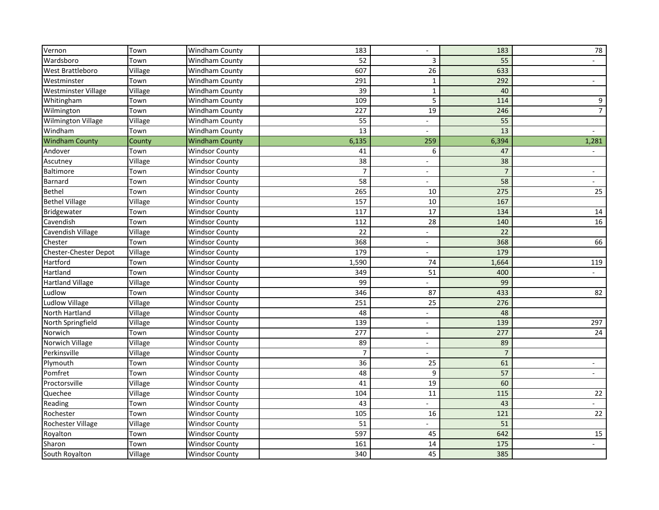| Vernon                     | Town    | Windham County        | 183            | $\overline{\phantom{a}}$ | 183            | 78                       |
|----------------------------|---------|-----------------------|----------------|--------------------------|----------------|--------------------------|
| Wardsboro                  | Town    | Windham County        | 52             | 3                        | 55             |                          |
| West Brattleboro           | Village | Windham County        | 607            | 26                       | 633            |                          |
| Westminster                | Town    | Windham County        | 291            | 1                        | 292            |                          |
| <b>Westminster Village</b> | Village | <b>Windham County</b> | 39             | $\mathbf{1}$             | 40             |                          |
| Whitingham                 | Town    | Windham County        | 109            | 5                        | 114            | 9                        |
| Wilmington                 | Town    | Windham County        | 227            | 19                       | 246            | $\overline{7}$           |
| <b>Wilmington Village</b>  | Village | Windham County        | 55             | -                        | 55             |                          |
| Windham                    | Town    | Windham County        | 13             |                          | 13             | $\overline{\phantom{0}}$ |
| <b>Windham County</b>      | County  | <b>Windham County</b> | 6,135          | 259                      | 6,394          | 1,281                    |
| Andover                    | Town    | <b>Windsor County</b> | 41             | 6                        | 47             |                          |
| Ascutney                   | Village | <b>Windsor County</b> | 38             |                          | 38             |                          |
| Baltimore                  | Town    | <b>Windsor County</b> | $\overline{7}$ | $\overline{\phantom{a}}$ | 7              | $\overline{\phantom{a}}$ |
| <b>Barnard</b>             | Town    | <b>Windsor County</b> | 58             |                          | 58             |                          |
| <b>Bethel</b>              | Town    | <b>Windsor County</b> | 265            | 10                       | 275            | 25                       |
| <b>Bethel Village</b>      | Village | <b>Windsor County</b> | 157            | 10                       | 167            |                          |
| Bridgewater                | Town    | <b>Windsor County</b> | 117            | 17                       | 134            | 14                       |
| Cavendish                  | Town    | <b>Windsor County</b> | 112            | 28                       | 140            | 16                       |
| Cavendish Village          | Village | <b>Windsor County</b> | 22             | $\qquad \qquad -$        | 22             |                          |
| Chester                    | Town    | <b>Windsor County</b> | 368            |                          | 368            | 66                       |
| Chester-Chester Depot      | Village | <b>Windsor County</b> | 179            | $\overline{\phantom{0}}$ | 179            |                          |
| Hartford                   | Town    | <b>Windsor County</b> | 1,590          | 74                       | 1,664          | 119                      |
| Hartland                   | Town    | <b>Windsor County</b> | 349            | 51                       | 400            |                          |
| <b>Hartland Village</b>    | Village | <b>Windsor County</b> | 99             |                          | 99             |                          |
| Ludlow                     | Town    | <b>Windsor County</b> | 346            | 87                       | 433            | 82                       |
| <b>Ludlow Village</b>      | Village | <b>Windsor County</b> | 251            | 25                       | 276            |                          |
| North Hartland             | Village | <b>Windsor County</b> | 48             | -                        | 48             |                          |
| North Springfield          | Village | <b>Windsor County</b> | 139            | -                        | 139            | 297                      |
| Norwich                    | Town    | <b>Windsor County</b> | 277            | $\overline{\phantom{a}}$ | 277            | 24                       |
| Norwich Village            | Village | <b>Windsor County</b> | 89             |                          | 89             |                          |
| Perkinsville               | Village | <b>Windsor County</b> | $\overline{7}$ |                          | $\overline{7}$ |                          |
| Plymouth                   | Town    | <b>Windsor County</b> | 36             | 25                       | 61             |                          |
| Pomfret                    | Town    | <b>Windsor County</b> | 48             | 9                        | 57             | $ \,$                    |
| Proctorsville              | Village | <b>Windsor County</b> | 41             | 19                       | 60             |                          |
| Quechee                    | Village | <b>Windsor County</b> | 104            | 11                       | 115            | 22                       |
| Reading                    | Town    | <b>Windsor County</b> | 43             | $\overline{\phantom{0}}$ | 43             | $\overline{\phantom{0}}$ |
| Rochester                  | Town    | <b>Windsor County</b> | 105            | 16                       | 121            | 22                       |
| Rochester Village          | Village | <b>Windsor County</b> | 51             |                          | 51             |                          |
| Royalton                   | Town    | <b>Windsor County</b> | 597            | 45                       | 642            | 15                       |
| Sharon                     | Town    | <b>Windsor County</b> | 161            | $14\,$                   | 175            |                          |
| South Royalton             | Village | <b>Windsor County</b> | 340            | 45                       | 385            |                          |